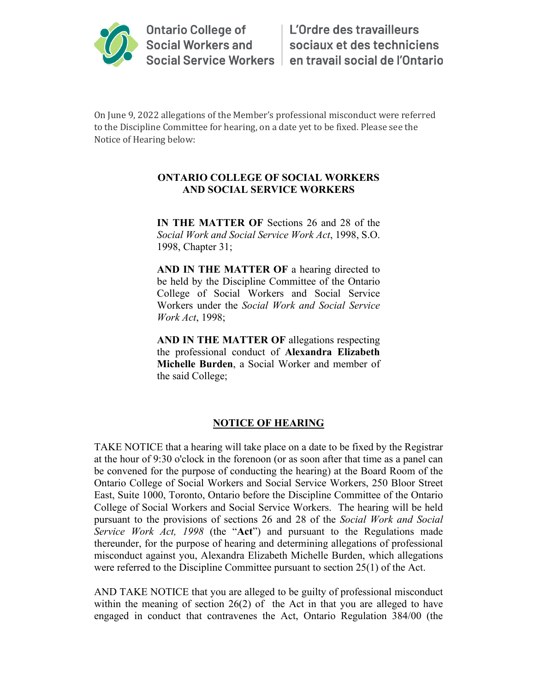

On June 9, 2022 allegations of the Member's professional misconduct were referred to the Discipline Committee for hearing, on a date yet to be fixed. Please see the Notice of Hearing below:

## **ONTARIO COLLEGE OF SOCIAL WORKERS AND SOCIAL SERVICE WORKERS**

**IN THE MATTER OF** Sections 26 and 28 of the *Social Work and Social Service Work Act*, 1998, S.O. 1998, Chapter 31;

**AND IN THE MATTER OF** a hearing directed to be held by the Discipline Committee of the Ontario College of Social Workers and Social Service Workers under the *Social Work and Social Service Work Act*, 1998;

**AND IN THE MATTER OF** allegations respecting the professional conduct of **Alexandra Elizabeth Michelle Burden**, a Social Worker and member of the said College;

## **NOTICE OF HEARING**

TAKE NOTICE that a hearing will take place on a date to be fixed by the Registrar at the hour of 9:30 o'clock in the forenoon (or as soon after that time as a panel can be convened for the purpose of conducting the hearing) at the Board Room of the Ontario College of Social Workers and Social Service Workers, 250 Bloor Street East, Suite 1000, Toronto, Ontario before the Discipline Committee of the Ontario College of Social Workers and Social Service Workers. The hearing will be held pursuant to the provisions of sections 26 and 28 of the *Social Work and Social Service Work Act, 1998* (the "**Act**") and pursuant to the Regulations made thereunder, for the purpose of hearing and determining allegations of professional misconduct against you, Alexandra Elizabeth Michelle Burden, which allegations were referred to the Discipline Committee pursuant to section 25(1) of the Act.

AND TAKE NOTICE that you are alleged to be guilty of professional misconduct within the meaning of section 26(2) of the Act in that you are alleged to have engaged in conduct that contravenes the Act, Ontario Regulation 384/00 (the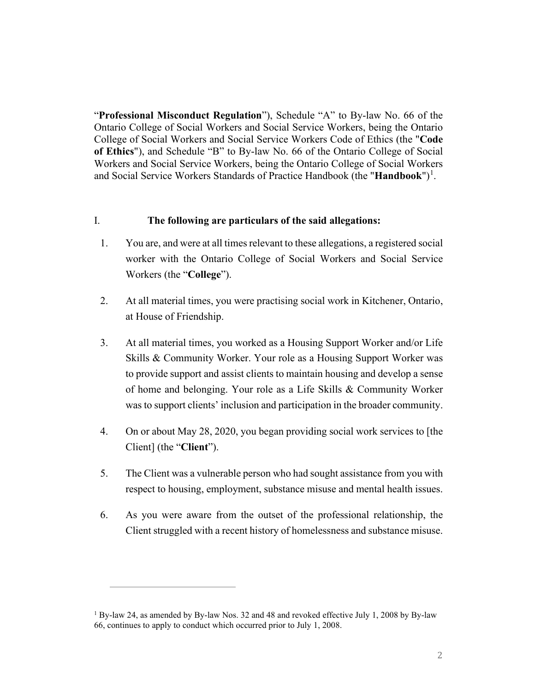"**Professional Misconduct Regulation**"), Schedule "A" to By-law No. 66 of the Ontario College of Social Workers and Social Service Workers, being the Ontario College of Social Workers and Social Service Workers Code of Ethics (the "**Code of Ethics**"), and Schedule "B" to By-law No. 66 of the Ontario College of Social Workers and Social Service Workers, being the Ontario College of Social Workers and Social Service Workers Standards of Practice Handbook (the "**Handbook**")<sup>[1](#page-1-0)</sup>.

## I. **The following are particulars of the said allegations:**

- 1. You are, and were at all times relevant to these allegations, a registered social worker with the Ontario College of Social Workers and Social Service Workers (the "**College**").
- 2. At all material times, you were practising social work in Kitchener, Ontario, at House of Friendship.
- 3. At all material times, you worked as a Housing Support Worker and/or Life Skills & Community Worker. Your role as a Housing Support Worker was to provide support and assist clients to maintain housing and develop a sense of home and belonging. Your role as a Life Skills & Community Worker was to support clients' inclusion and participation in the broader community.
- 4. On or about May 28, 2020, you began providing social work services to [the Client] (the "**Client**").
- 5. The Client was a vulnerable person who had sought assistance from you with respect to housing, employment, substance misuse and mental health issues.
- 6. As you were aware from the outset of the professional relationship, the Client struggled with a recent history of homelessness and substance misuse.

<span id="page-1-0"></span><sup>1</sup> By-law 24, as amended by By-law Nos. 32 and 48 and revoked effective July 1, 2008 by By-law 66, continues to apply to conduct which occurred prior to July 1, 2008.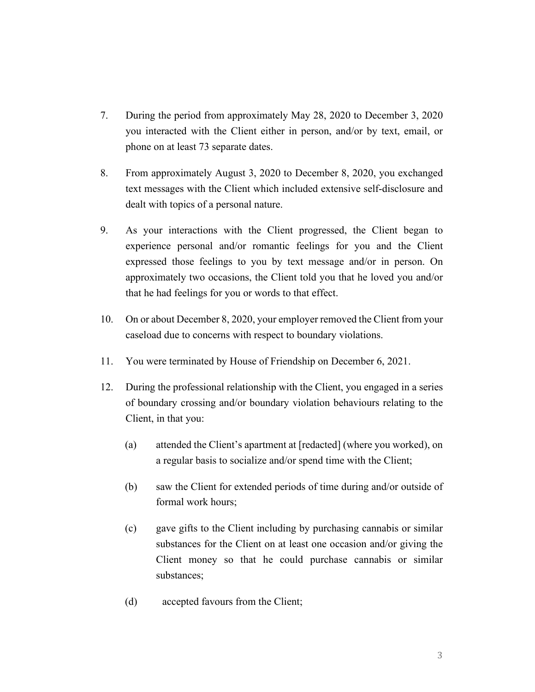- 7. During the period from approximately May 28, 2020 to December 3, 2020 you interacted with the Client either in person, and/or by text, email, or phone on at least 73 separate dates.
- 8. From approximately August 3, 2020 to December 8, 2020, you exchanged text messages with the Client which included extensive self-disclosure and dealt with topics of a personal nature.
- 9. As your interactions with the Client progressed, the Client began to experience personal and/or romantic feelings for you and the Client expressed those feelings to you by text message and/or in person. On approximately two occasions, the Client told you that he loved you and/or that he had feelings for you or words to that effect.
- 10. On or about December 8, 2020, your employer removed the Client from your caseload due to concerns with respect to boundary violations.
- 11. You were terminated by House of Friendship on December 6, 2021.
- 12. During the professional relationship with the Client, you engaged in a series of boundary crossing and/or boundary violation behaviours relating to the Client, in that you:
	- (a) attended the Client's apartment at [redacted] (where you worked), on a regular basis to socialize and/or spend time with the Client;
	- (b) saw the Client for extended periods of time during and/or outside of formal work hours;
	- (c) gave gifts to the Client including by purchasing cannabis or similar substances for the Client on at least one occasion and/or giving the Client money so that he could purchase cannabis or similar substances;
	- (d) accepted favours from the Client;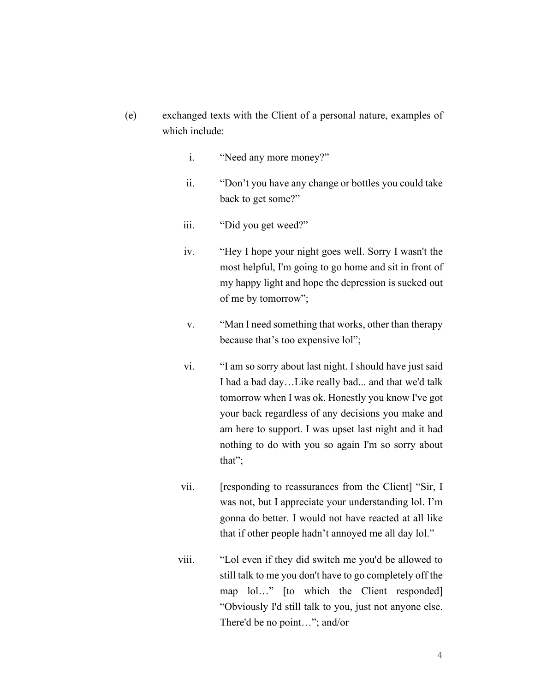- (e) exchanged texts with the Client of a personal nature, examples of which include:
	- i. "Need any more money?"
	- ii. "Don't you have any change or bottles you could take back to get some?"
	- iii. "Did you get weed?"
	- iv. "Hey I hope your night goes well. Sorry I wasn't the most helpful, I'm going to go home and sit in front of my happy light and hope the depression is sucked out of me by tomorrow";
	- v. "Man I need something that works, other than therapy because that's too expensive lol";
	- vi. "I am so sorry about last night. I should have just said I had a bad day…Like really bad... and that we'd talk tomorrow when I was ok. Honestly you know I've got your back regardless of any decisions you make and am here to support. I was upset last night and it had nothing to do with you so again I'm so sorry about that";
	- vii. [responding to reassurances from the Client] "Sir, I was not, but I appreciate your understanding lol. I'm gonna do better. I would not have reacted at all like that if other people hadn't annoyed me all day lol."
	- viii. "Lol even if they did switch me you'd be allowed to still talk to me you don't have to go completely off the map lol…" [to which the Client responded] "Obviously I'd still talk to you, just not anyone else. There'd be no point…"; and/or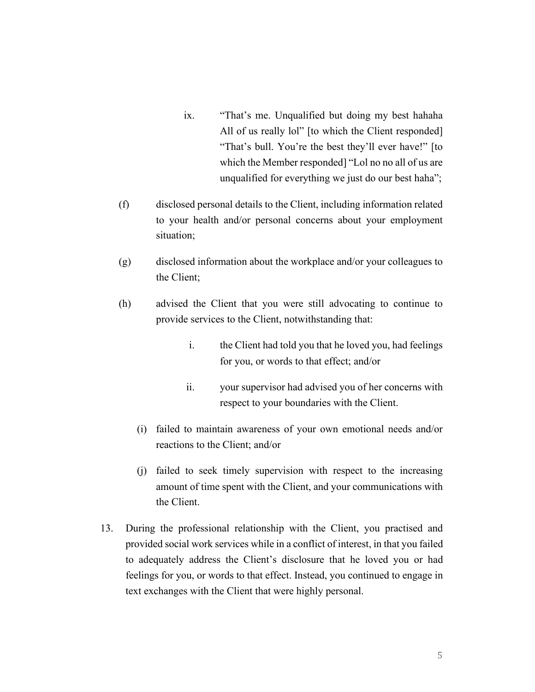- ix. "That's me. Unqualified but doing my best hahaha All of us really lol" [to which the Client responded] "That's bull. You're the best they'll ever have!" [to which the Member responded] "Lol no no all of us are unqualified for everything we just do our best haha";
- (f) disclosed personal details to the Client, including information related to your health and/or personal concerns about your employment situation;
- (g) disclosed information about the workplace and/or your colleagues to the Client;
- (h) advised the Client that you were still advocating to continue to provide services to the Client, notwithstanding that:
	- i. the Client had told you that he loved you, had feelings for you, or words to that effect; and/or
	- ii. your supervisor had advised you of her concerns with respect to your boundaries with the Client.
	- (i) failed to maintain awareness of your own emotional needs and/or reactions to the Client; and/or
	- (j) failed to seek timely supervision with respect to the increasing amount of time spent with the Client, and your communications with the Client.
- 13. During the professional relationship with the Client, you practised and provided social work services while in a conflict of interest, in that you failed to adequately address the Client's disclosure that he loved you or had feelings for you, or words to that effect. Instead, you continued to engage in text exchanges with the Client that were highly personal.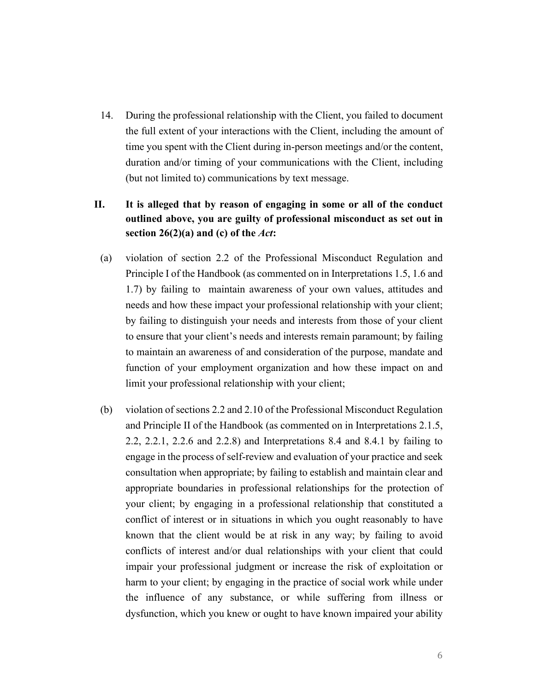14. During the professional relationship with the Client, you failed to document the full extent of your interactions with the Client, including the amount of time you spent with the Client during in-person meetings and/or the content, duration and/or timing of your communications with the Client, including (but not limited to) communications by text message.

## **II. It is alleged that by reason of engaging in some or all of the conduct outlined above, you are guilty of professional misconduct as set out in section 26(2)(a) and (c) of the** *Act***:**

- (a) violation of section 2.2 of the Professional Misconduct Regulation and Principle I of the Handbook (as commented on in Interpretations 1.5, 1.6 and 1.7) by failing to maintain awareness of your own values, attitudes and needs and how these impact your professional relationship with your client; by failing to distinguish your needs and interests from those of your client to ensure that your client's needs and interests remain paramount; by failing to maintain an awareness of and consideration of the purpose, mandate and function of your employment organization and how these impact on and limit your professional relationship with your client;
- (b) violation of sections 2.2 and 2.10 of the Professional Misconduct Regulation and Principle II of the Handbook (as commented on in Interpretations 2.1.5, 2.2, 2.2.1, 2.2.6 and 2.2.8) and Interpretations 8.4 and 8.4.1 by failing to engage in the process of self-review and evaluation of your practice and seek consultation when appropriate; by failing to establish and maintain clear and appropriate boundaries in professional relationships for the protection of your client; by engaging in a professional relationship that constituted a conflict of interest or in situations in which you ought reasonably to have known that the client would be at risk in any way; by failing to avoid conflicts of interest and/or dual relationships with your client that could impair your professional judgment or increase the risk of exploitation or harm to your client; by engaging in the practice of social work while under the influence of any substance, or while suffering from illness or dysfunction, which you knew or ought to have known impaired your ability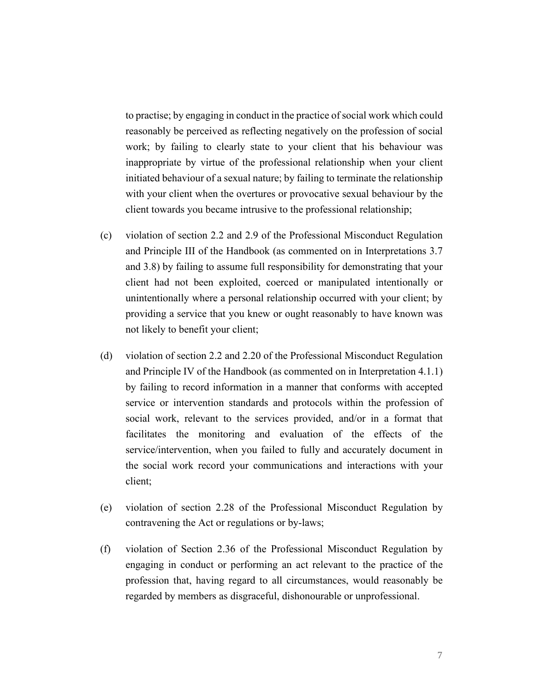to practise; by engaging in conduct in the practice of social work which could reasonably be perceived as reflecting negatively on the profession of social work; by failing to clearly state to your client that his behaviour was inappropriate by virtue of the professional relationship when your client initiated behaviour of a sexual nature; by failing to terminate the relationship with your client when the overtures or provocative sexual behaviour by the client towards you became intrusive to the professional relationship;

- (c) violation of section 2.2 and 2.9 of the Professional Misconduct Regulation and Principle III of the Handbook (as commented on in Interpretations 3.7 and 3.8) by failing to assume full responsibility for demonstrating that your client had not been exploited, coerced or manipulated intentionally or unintentionally where a personal relationship occurred with your client; by providing a service that you knew or ought reasonably to have known was not likely to benefit your client;
- (d) violation of section 2.2 and 2.20 of the Professional Misconduct Regulation and Principle IV of the Handbook (as commented on in Interpretation 4.1.1) by failing to record information in a manner that conforms with accepted service or intervention standards and protocols within the profession of social work, relevant to the services provided, and/or in a format that facilitates the monitoring and evaluation of the effects of the service/intervention, when you failed to fully and accurately document in the social work record your communications and interactions with your client;
- (e) violation of section 2.28 of the Professional Misconduct Regulation by contravening the Act or regulations or by-laws;
- (f) violation of Section 2.36 of the Professional Misconduct Regulation by engaging in conduct or performing an act relevant to the practice of the profession that, having regard to all circumstances, would reasonably be regarded by members as disgraceful, dishonourable or unprofessional.